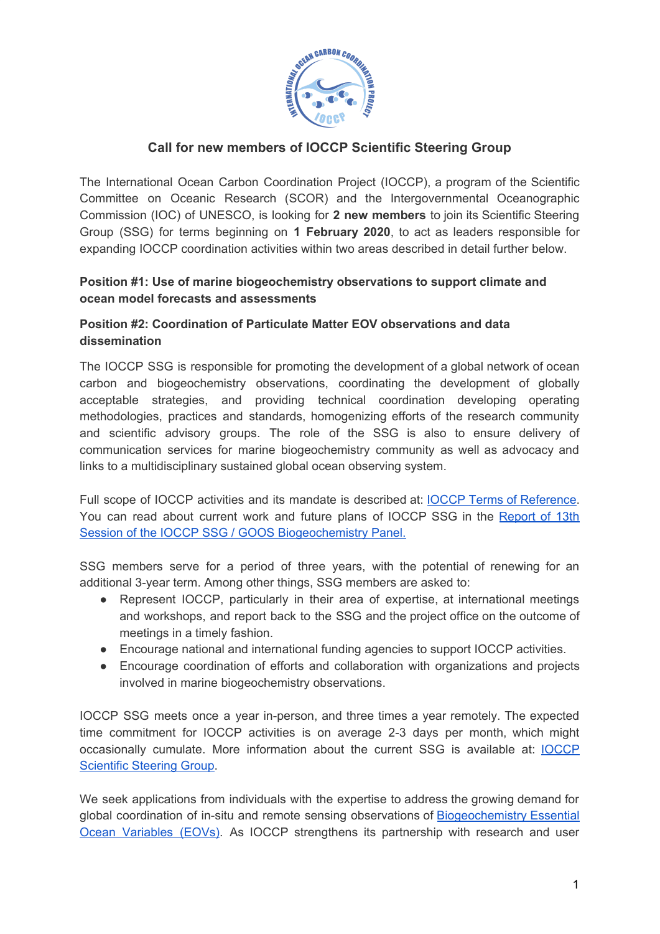

### **Call for new members of IOCCP Scientific Steering Group**

The International Ocean Carbon Coordination Project (IOCCP), a program of the Scientific Committee on Oceanic Research (SCOR) and the Intergovernmental Oceanographic Commission (IOC) of UNESCO, is looking for **2 new members** to join its Scientific Steering Group (SSG) for terms beginning on **1 February 2020**, to act as leaders responsible for expanding IOCCP coordination activities within two areas described in detail further below.

#### **Position #1: Use of marine biogeochemistry observations to support climate and ocean model forecasts and assessments**

### **Position #2: Coordination of Particulate Matter EOV observations and data dissemination**

The IOCCP SSG is responsible for promoting the development of a global network of ocean carbon and biogeochemistry observations, coordinating the development of globally acceptable strategies, and providing technical coordination developing operating methodologies, practices and standards, homogenizing efforts of the research community and scientific advisory groups. The role of the SSG is also to ensure delivery of communication services for marine biogeochemistry community as well as advocacy and links to a multidisciplinary sustained global ocean observing system.

Full scope of IOCCP activities and its mandate is described at: IOCCP Terms of [Reference.](http://www.ioccp.org/index.php/about-us/tors) You can read about current work and future plans of IOCCP SSG in the [Report](http://www.ioccp.org/images/D3meetingReports/XIII-IOCCP-SSG_report_FINALv2.pdf) of 13th Session of the IOCCP SSG / GOOS [Biogeochemistry](http://www.ioccp.org/images/D3meetingReports/XIII-IOCCP-SSG_report_FINALv2.pdf) Panel.

SSG members serve for a period of three years, with the potential of renewing for an additional 3-year term. Among other things, SSG members are asked to:

- Represent IOCCP, particularly in their area of expertise, at international meetings and workshops, and report back to the SSG and the project office on the outcome of meetings in a timely fashion.
- Encourage national and international funding agencies to support IOCCP activities.
- Encourage coordination of efforts and collaboration with organizations and projects involved in marine biogeochemistry observations.

IOCCP SSG meets once a year in-person, and three times a year remotely. The expected time commitment for IOCCP activities is on average 2-3 days per month, which might occasionally cumulate. More information about the current SSG is available at: [IOCCP](http://www.ioccp.org/index.php/contacts) [Scientific](http://www.ioccp.org/index.php/contacts) Steering Group.

We seek applications from individuals with the expertise to address the growing demand for global coordination of in-situ and remote sensing observations of [Biogeochemistry](http://www.ioccp.org/index.php/foo) Essential Ocean [Variables](http://www.ioccp.org/index.php/foo) (EOVs). As IOCCP strengthens its partnership with research and user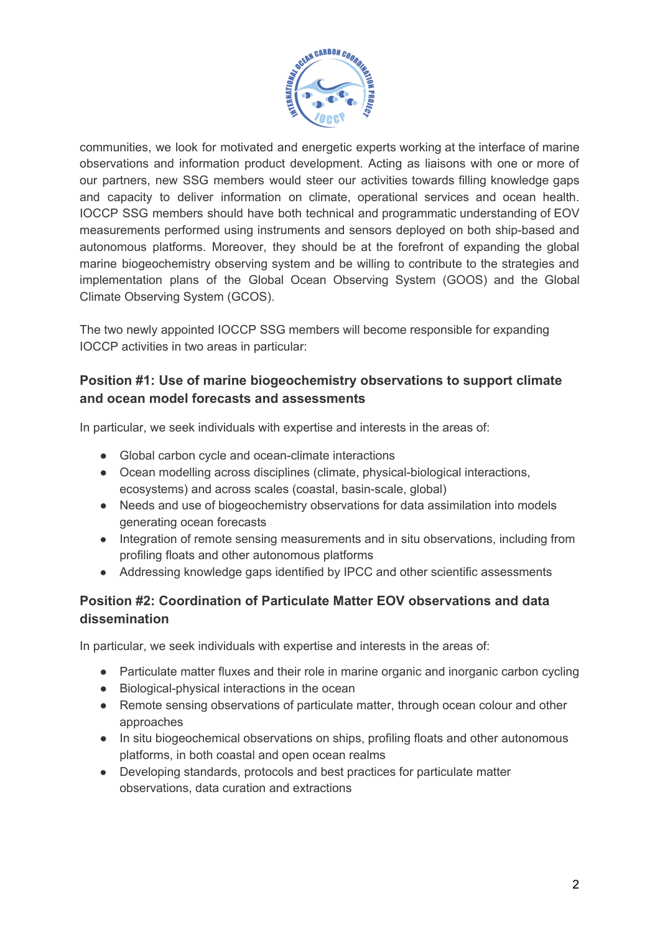

communities, we look for motivated and energetic experts working at the interface of marine observations and information product development. Acting as liaisons with one or more of our partners, new SSG members would steer our activities towards filling knowledge gaps and capacity to deliver information on climate, operational services and ocean health. IOCCP SSG members should have both technical and programmatic understanding of EOV measurements performed using instruments and sensors deployed on both ship-based and autonomous platforms. Moreover, they should be at the forefront of expanding the global marine biogeochemistry observing system and be willing to contribute to the strategies and implementation plans of the Global Ocean Observing System (GOOS) and the Global Climate Observing System (GCOS).

The two newly appointed IOCCP SSG members will become responsible for expanding IOCCP activities in two areas in particular:

# **Position #1: Use of marine biogeochemistry observations to support climate and ocean model forecasts and assessments**

In particular, we seek individuals with expertise and interests in the areas of:

- Global carbon cycle and ocean-climate interactions
- Ocean modelling across disciplines (climate, physical-biological interactions, ecosystems) and across scales (coastal, basin-scale, global)
- Needs and use of biogeochemistry observations for data assimilation into models generating ocean forecasts
- Integration of remote sensing measurements and in situ observations, including from profiling floats and other autonomous platforms
- Addressing knowledge gaps identified by IPCC and other scientific assessments

# **Position #2: Coordination of Particulate Matter EOV observations and data dissemination**

In particular, we seek individuals with expertise and interests in the areas of:

- Particulate matter fluxes and their role in marine organic and inorganic carbon cycling
- Biological-physical interactions in the ocean
- Remote sensing observations of particulate matter, through ocean colour and other approaches
- In situ biogeochemical observations on ships, profiling floats and other autonomous platforms, in both coastal and open ocean realms
- Developing standards, protocols and best practices for particulate matter observations, data curation and extractions